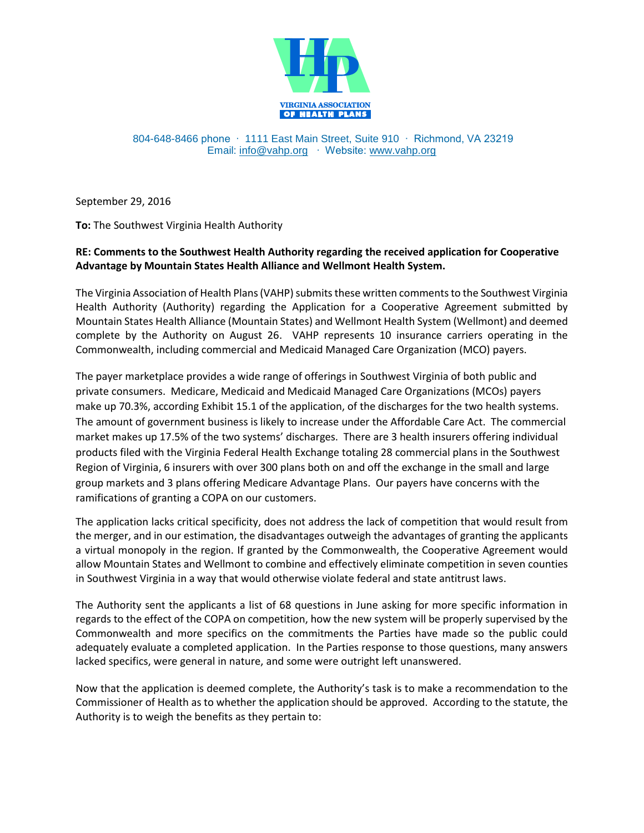

804-648-8466 phone ∙ 1111 East Main Street, Suite 910 ∙ Richmond, VA 23219 Email: [info@vahp.org](mailto:info@vahp.org) ∙ Website: [www.vahp.org](http://www.vahp.org/)

September 29, 2016

**To:** The Southwest Virginia Health Authority

## **RE: Comments to the Southwest Health Authority regarding the received application for Cooperative Advantage by Mountain States Health Alliance and Wellmont Health System.**

The Virginia Association of Health Plans (VAHP) submits these written comments to the Southwest Virginia Health Authority (Authority) regarding the Application for a Cooperative Agreement submitted by Mountain States Health Alliance (Mountain States) and Wellmont Health System (Wellmont) and deemed complete by the Authority on August 26. VAHP represents 10 insurance carriers operating in the Commonwealth, including commercial and Medicaid Managed Care Organization (MCO) payers.

The payer marketplace provides a wide range of offerings in Southwest Virginia of both public and private consumers. Medicare, Medicaid and Medicaid Managed Care Organizations (MCOs) payers make up 70.3%, according Exhibit 15.1 of the application, of the discharges for the two health systems. The amount of government business is likely to increase under the Affordable Care Act. The commercial market makes up 17.5% of the two systems' discharges. There are 3 health insurers offering individual products filed with the Virginia Federal Health Exchange totaling 28 commercial plans in the Southwest Region of Virginia, 6 insurers with over 300 plans both on and off the exchange in the small and large group markets and 3 plans offering Medicare Advantage Plans. Our payers have concerns with the ramifications of granting a COPA on our customers.

The application lacks critical specificity, does not address the lack of competition that would result from the merger, and in our estimation, the disadvantages outweigh the advantages of granting the applicants a virtual monopoly in the region. If granted by the Commonwealth, the Cooperative Agreement would allow Mountain States and Wellmont to combine and effectively eliminate competition in seven counties in Southwest Virginia in a way that would otherwise violate federal and state antitrust laws.

The Authority sent the applicants a list of 68 questions in June asking for more specific information in regards to the effect of the COPA on competition, how the new system will be properly supervised by the Commonwealth and more specifics on the commitments the Parties have made so the public could adequately evaluate a completed application. In the Parties response to those questions, many answers lacked specifics, were general in nature, and some were outright left unanswered.

Now that the application is deemed complete, the Authority's task is to make a recommendation to the Commissioner of Health as to whether the application should be approved. According to the statute, the Authority is to weigh the benefits as they pertain to: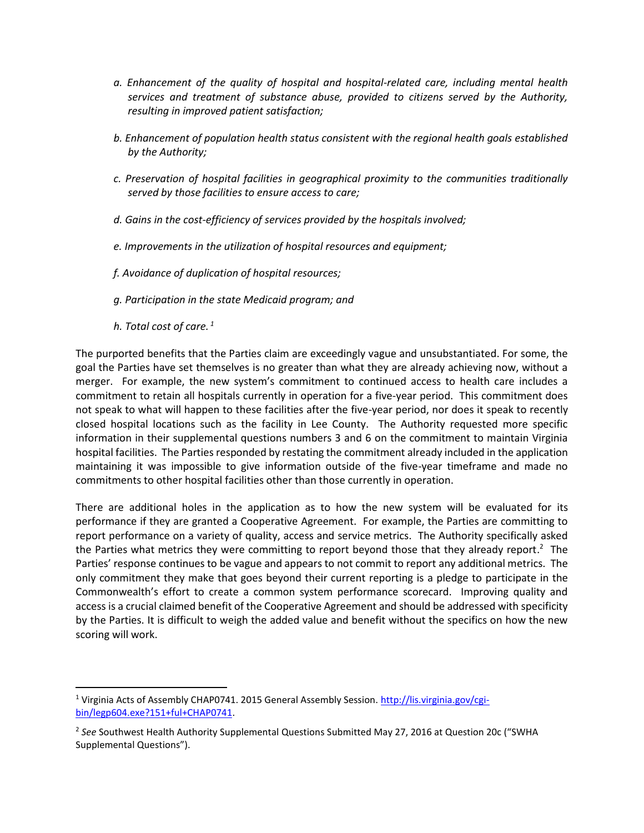- *a. Enhancement of the quality of hospital and hospital-related care, including mental health services and treatment of substance abuse, provided to citizens served by the Authority, resulting in improved patient satisfaction;*
- *b. Enhancement of population health status consistent with the regional health goals established by the Authority;*
- *c. Preservation of hospital facilities in geographical proximity to the communities traditionally served by those facilities to ensure access to care;*
- *d. Gains in the cost-efficiency of services provided by the hospitals involved;*
- *e. Improvements in the utilization of hospital resources and equipment;*
- *f. Avoidance of duplication of hospital resources;*
- *g. Participation in the state Medicaid program; and*
- *h. Total cost of care. <sup>1</sup>*

 $\overline{a}$ 

The purported benefits that the Parties claim are exceedingly vague and unsubstantiated. For some, the goal the Parties have set themselves is no greater than what they are already achieving now, without a merger. For example, the new system's commitment to continued access to health care includes a commitment to retain all hospitals currently in operation for a five-year period. This commitment does not speak to what will happen to these facilities after the five-year period, nor does it speak to recently closed hospital locations such as the facility in Lee County. The Authority requested more specific information in their supplemental questions numbers 3 and 6 on the commitment to maintain Virginia hospital facilities. The Parties responded by restating the commitment already included in the application maintaining it was impossible to give information outside of the five-year timeframe and made no commitments to other hospital facilities other than those currently in operation.

There are additional holes in the application as to how the new system will be evaluated for its performance if they are granted a Cooperative Agreement. For example, the Parties are committing to report performance on a variety of quality, access and service metrics. The Authority specifically asked the Parties what metrics they were committing to report beyond those that they already report.<sup>2</sup> The Parties' response continues to be vague and appears to not commit to report any additional metrics. The only commitment they make that goes beyond their current reporting is a pledge to participate in the Commonwealth's effort to create a common system performance scorecard. Improving quality and access is a crucial claimed benefit of the Cooperative Agreement and should be addressed with specificity by the Parties. It is difficult to weigh the added value and benefit without the specifics on how the new scoring will work.

<sup>&</sup>lt;sup>1</sup> Virginia Acts of Assembly CHAP0741. 2015 General Assembly Session. [http://lis.virginia.gov/cgi](http://lis.virginia.gov/cgi-bin/legp604.exe?151+ful+CHAP0741)[bin/legp604.exe?151+ful+CHAP0741.](http://lis.virginia.gov/cgi-bin/legp604.exe?151+ful+CHAP0741)

<sup>2</sup> *See* Southwest Health Authority Supplemental Questions Submitted May 27, 2016 at Question 20c ("SWHA Supplemental Questions").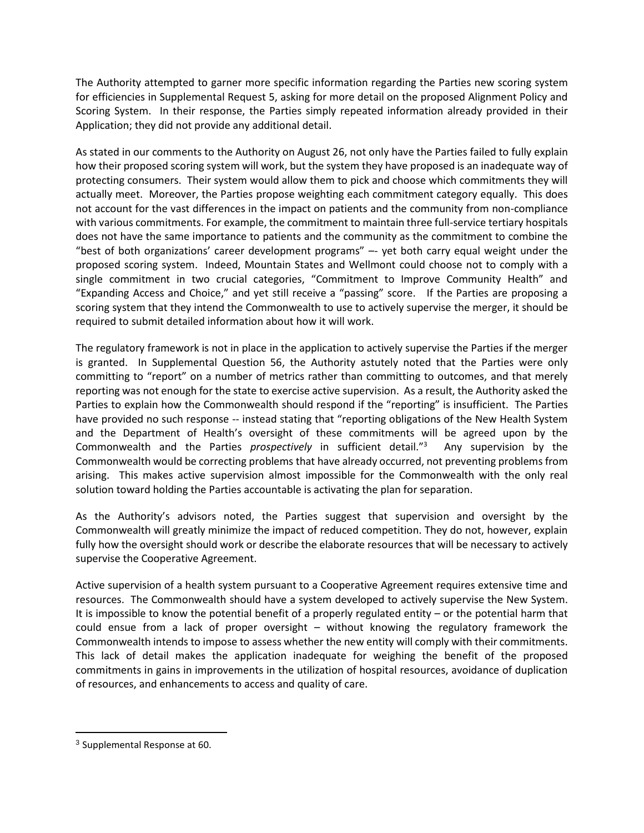The Authority attempted to garner more specific information regarding the Parties new scoring system for efficiencies in Supplemental Request 5, asking for more detail on the proposed Alignment Policy and Scoring System. In their response, the Parties simply repeated information already provided in their Application; they did not provide any additional detail.

As stated in our comments to the Authority on August 26, not only have the Parties failed to fully explain how their proposed scoring system will work, but the system they have proposed is an inadequate way of protecting consumers. Their system would allow them to pick and choose which commitments they will actually meet. Moreover, the Parties propose weighting each commitment category equally. This does not account for the vast differences in the impact on patients and the community from non-compliance with various commitments. For example, the commitment to maintain three full-service tertiary hospitals does not have the same importance to patients and the community as the commitment to combine the "best of both organizations' career development programs" –- yet both carry equal weight under the proposed scoring system. Indeed, Mountain States and Wellmont could choose not to comply with a single commitment in two crucial categories, "Commitment to Improve Community Health" and "Expanding Access and Choice," and yet still receive a "passing" score. If the Parties are proposing a scoring system that they intend the Commonwealth to use to actively supervise the merger, it should be required to submit detailed information about how it will work.

The regulatory framework is not in place in the application to actively supervise the Parties if the merger is granted. In Supplemental Question 56, the Authority astutely noted that the Parties were only committing to "report" on a number of metrics rather than committing to outcomes, and that merely reporting was not enough for the state to exercise active supervision. As a result, the Authority asked the Parties to explain how the Commonwealth should respond if the "reporting" is insufficient. The Parties have provided no such response -- instead stating that "reporting obligations of the New Health System and the Department of Health's oversight of these commitments will be agreed upon by the Commonwealth and the Parties *prospectively* in sufficient detail."<sup>3</sup> Any supervision by the Commonwealth would be correcting problems that have already occurred, not preventing problems from arising. This makes active supervision almost impossible for the Commonwealth with the only real solution toward holding the Parties accountable is activating the plan for separation.

As the Authority's advisors noted, the Parties suggest that supervision and oversight by the Commonwealth will greatly minimize the impact of reduced competition. They do not, however, explain fully how the oversight should work or describe the elaborate resources that will be necessary to actively supervise the Cooperative Agreement.

Active supervision of a health system pursuant to a Cooperative Agreement requires extensive time and resources. The Commonwealth should have a system developed to actively supervise the New System. It is impossible to know the potential benefit of a properly regulated entity – or the potential harm that could ensue from a lack of proper oversight – without knowing the regulatory framework the Commonwealth intends to impose to assess whether the new entity will comply with their commitments. This lack of detail makes the application inadequate for weighing the benefit of the proposed commitments in gains in improvements in the utilization of hospital resources, avoidance of duplication of resources, and enhancements to access and quality of care.

 $\overline{\phantom{a}}$ 

<sup>3</sup> Supplemental Response at 60.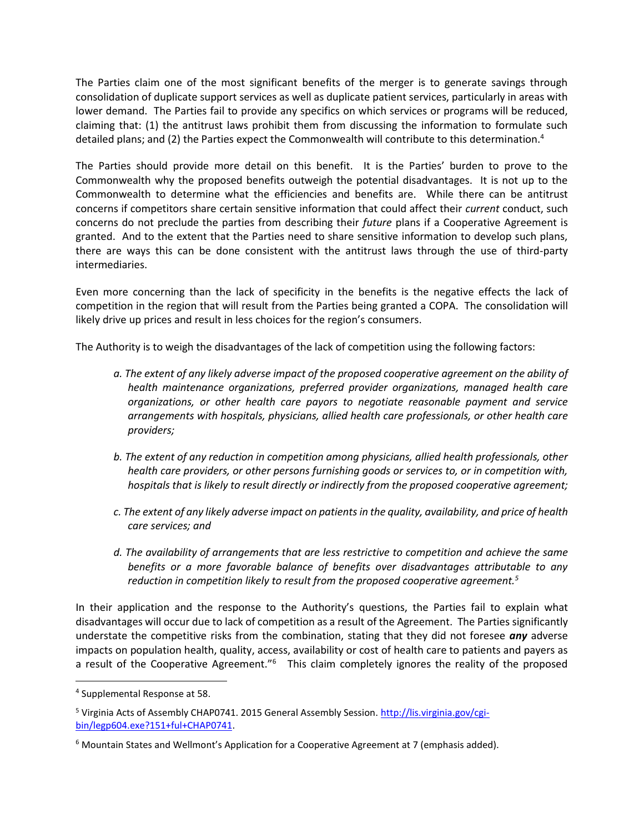The Parties claim one of the most significant benefits of the merger is to generate savings through consolidation of duplicate support services as well as duplicate patient services, particularly in areas with lower demand. The Parties fail to provide any specifics on which services or programs will be reduced, claiming that: (1) the antitrust laws prohibit them from discussing the information to formulate such detailed plans; and (2) the Parties expect the Commonwealth will contribute to this determination.<sup>4</sup>

The Parties should provide more detail on this benefit. It is the Parties' burden to prove to the Commonwealth why the proposed benefits outweigh the potential disadvantages. It is not up to the Commonwealth to determine what the efficiencies and benefits are. While there can be antitrust concerns if competitors share certain sensitive information that could affect their *current* conduct, such concerns do not preclude the parties from describing their *future* plans if a Cooperative Agreement is granted. And to the extent that the Parties need to share sensitive information to develop such plans, there are ways this can be done consistent with the antitrust laws through the use of third-party intermediaries.

Even more concerning than the lack of specificity in the benefits is the negative effects the lack of competition in the region that will result from the Parties being granted a COPA. The consolidation will likely drive up prices and result in less choices for the region's consumers.

The Authority is to weigh the disadvantages of the lack of competition using the following factors:

- *a. The extent of any likely adverse impact of the proposed cooperative agreement on the ability of health maintenance organizations, preferred provider organizations, managed health care organizations, or other health care payors to negotiate reasonable payment and service arrangements with hospitals, physicians, allied health care professionals, or other health care providers;*
- *b. The extent of any reduction in competition among physicians, allied health professionals, other health care providers, or other persons furnishing goods or services to, or in competition with, hospitals that is likely to result directly or indirectly from the proposed cooperative agreement;*
- *c. The extent of any likely adverse impact on patients in the quality, availability, and price of health care services; and*
- *d. The availability of arrangements that are less restrictive to competition and achieve the same benefits or a more favorable balance of benefits over disadvantages attributable to any reduction in competition likely to result from the proposed cooperative agreement.<sup>5</sup>*

In their application and the response to the Authority's questions, the Parties fail to explain what disadvantages will occur due to lack of competition as a result of the Agreement. The Parties significantly understate the competitive risks from the combination, stating that they did not foresee *any* adverse impacts on population health, quality, access, availability or cost of health care to patients and payers as a result of the Cooperative Agreement."<sup>6</sup> This claim completely ignores the reality of the proposed

 $\overline{a}$ 

<sup>4</sup> Supplemental Response at 58.

<sup>5</sup> Virginia Acts of Assembly CHAP0741. 2015 General Assembly Session. [http://lis.virginia.gov/cgi](http://lis.virginia.gov/cgi-bin/legp604.exe?151+ful+CHAP0741)[bin/legp604.exe?151+ful+CHAP0741.](http://lis.virginia.gov/cgi-bin/legp604.exe?151+ful+CHAP0741)

 $6$  Mountain States and Wellmont's Application for a Cooperative Agreement at 7 (emphasis added).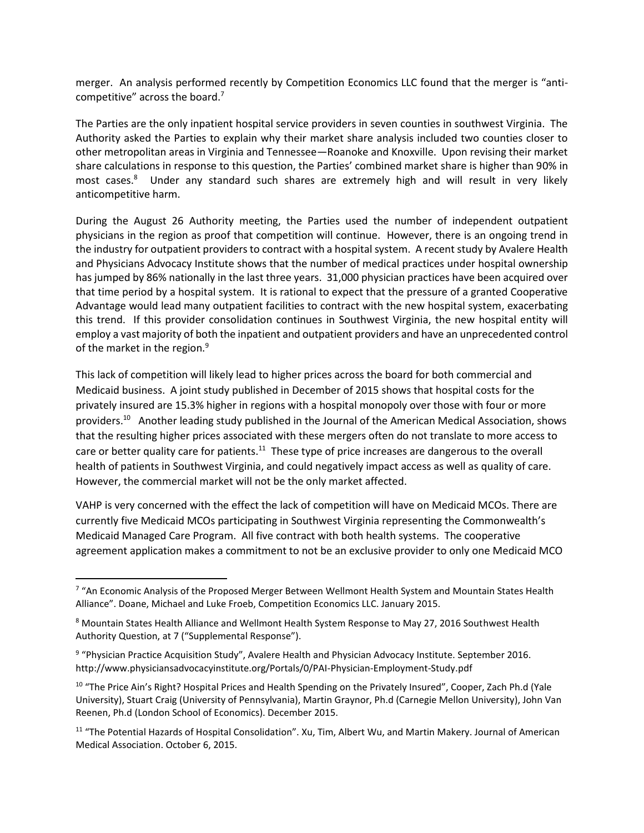merger. An analysis performed recently by Competition Economics LLC found that the merger is "anticompetitive" across the board.<sup>7</sup>

The Parties are the only inpatient hospital service providers in seven counties in southwest Virginia. The Authority asked the Parties to explain why their market share analysis included two counties closer to other metropolitan areas in Virginia and Tennessee—Roanoke and Knoxville. Upon revising their market share calculations in response to this question, the Parties' combined market share is higher than 90% in most cases.<sup>8</sup> Under any standard such shares are extremely high and will result in very likely anticompetitive harm.

During the August 26 Authority meeting, the Parties used the number of independent outpatient physicians in the region as proof that competition will continue. However, there is an ongoing trend in the industry for outpatient providers to contract with a hospital system. A recent study by Avalere Health and Physicians Advocacy Institute shows that the number of medical practices under hospital ownership has jumped by 86% nationally in the last three years. 31,000 physician practices have been acquired over that time period by a hospital system. It is rational to expect that the pressure of a granted Cooperative Advantage would lead many outpatient facilities to contract with the new hospital system, exacerbating this trend. If this provider consolidation continues in Southwest Virginia, the new hospital entity will employ a vast majority of both the inpatient and outpatient providers and have an unprecedented control of the market in the region.<sup>9</sup>

This lack of competition will likely lead to higher prices across the board for both commercial and Medicaid business. A joint study published in December of 2015 shows that hospital costs for the privately insured are 15.3% higher in regions with a hospital monopoly over those with four or more providers.<sup>10</sup> Another leading study published in the Journal of the American Medical Association, shows that the resulting higher prices associated with these mergers often do not translate to more access to care or better quality care for patients.<sup>11</sup> These type of price increases are dangerous to the overall health of patients in Southwest Virginia, and could negatively impact access as well as quality of care. However, the commercial market will not be the only market affected.

VAHP is very concerned with the effect the lack of competition will have on Medicaid MCOs. There are currently five Medicaid MCOs participating in Southwest Virginia representing the Commonwealth's Medicaid Managed Care Program. All five contract with both health systems. The cooperative agreement application makes a commitment to not be an exclusive provider to only one Medicaid MCO

 $\overline{a}$ 

<sup>&</sup>lt;sup>7</sup> "An Economic Analysis of the Proposed Merger Between Wellmont Health System and Mountain States Health Alliance". Doane, Michael and Luke Froeb, Competition Economics LLC. January 2015.

<sup>8</sup> Mountain States Health Alliance and Wellmont Health System Response to May 27, 2016 Southwest Health Authority Question, at 7 ("Supplemental Response").

<sup>&</sup>lt;sup>9</sup> "Physician Practice Acquisition Study", Avalere Health and Physician Advocacy Institute. September 2016. http://www.physiciansadvocacyinstitute.org/Portals/0/PAI-Physician-Employment-Study.pdf

<sup>&</sup>lt;sup>10</sup> "The Price Ain's Right? Hospital Prices and Health Spending on the Privately Insured", Cooper, Zach Ph.d (Yale University), Stuart Craig (University of Pennsylvania), Martin Graynor, Ph.d (Carnegie Mellon University), John Van Reenen, Ph.d (London School of Economics). December 2015.

<sup>&</sup>lt;sup>11</sup> "The Potential Hazards of Hospital Consolidation". Xu, Tim, Albert Wu, and Martin Makery. Journal of American Medical Association. October 6, 2015.